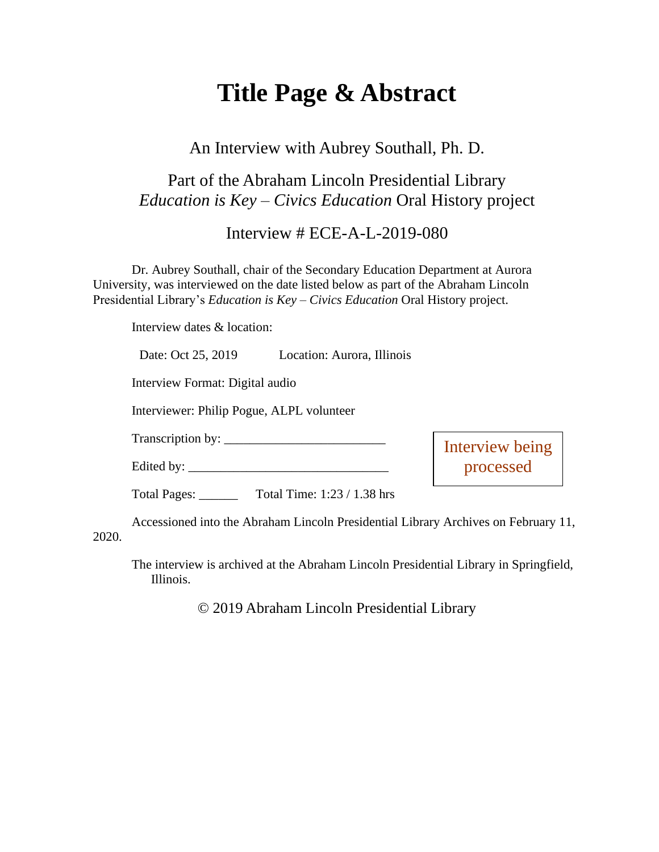# **Title Page & Abstract**

#### An Interview with Aubrey Southall, Ph. D.

### Part of the Abraham Lincoln Presidential Library *Education is Key – Civics Education* Oral History project

Interview # ECE-A-L-2019-080

Dr. Aubrey Southall, chair of the Secondary Education Department at Aurora University, was interviewed on the date listed below as part of the Abraham Lincoln Presidential Library's *Education is Key – Civics Education* Oral History project.

Interview dates & location:

|       | Date: Oct 25, 2019                                                                 | Location: Aurora, Illinois |                              |  |
|-------|------------------------------------------------------------------------------------|----------------------------|------------------------------|--|
|       | Interview Format: Digital audio<br>Interviewer: Philip Pogue, ALPL volunteer       |                            |                              |  |
|       |                                                                                    |                            |                              |  |
|       |                                                                                    |                            | Interview being<br>processed |  |
|       |                                                                                    |                            |                              |  |
|       | Total Time: 1:23 / 1.38 hrs<br>Total Pages: ______                                 |                            |                              |  |
| 2020. | Accessioned into the Abraham Lincoln Presidential Library Archives on February 11, |                            |                              |  |

The interview is archived at the Abraham Lincoln Presidential Library in Springfield, Illinois.

© 2019 Abraham Lincoln Presidential Library